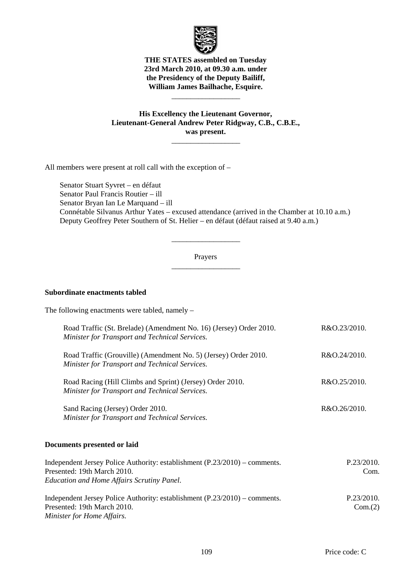

**THE STATES assembled on Tuesday 23rd March 2010, at 09.30 a.m. under the Presidency of the Deputy Bailiff, William James Bailhache, Esquire.** 

\_\_\_\_\_\_\_\_\_\_\_\_\_\_\_\_\_\_

**His Excellency the Lieutenant Governor, Lieutenant-General Andrew Peter Ridgway, C.B., C.B.E., was present.** 

\_\_\_\_\_\_\_\_\_\_\_\_\_\_\_\_\_\_

All members were present at roll call with the exception of –

 Senator Stuart Syvret – en défaut Senator Paul Francis Routier – ill Senator Bryan Ian Le Marquand – ill Connétable Silvanus Arthur Yates – excused attendance (arrived in the Chamber at 10.10 a.m.) Deputy Geoffrey Peter Southern of St. Helier – en défaut (défaut raised at 9.40 a.m.)

### Prayers \_\_\_\_\_\_\_\_\_\_\_\_\_\_\_\_\_\_

\_\_\_\_\_\_\_\_\_\_\_\_\_\_\_\_\_\_

### **Subordinate enactments tabled**

The following enactments were tabled, namely – Road Traffic (St. Brelade) (Amendment No. 16) (Jersey) Order 2010. *Minister for Transport and Technical Services.*  R&O.23/2010. Road Traffic (Grouville) (Amendment No. 5) (Jersey) Order 2010. *Minister for Transport and Technical Services.*  R&O.24/2010. Road Racing (Hill Climbs and Sprint) (Jersey) Order 2010. *Minister for Transport and Technical Services.*  R&O.25/2010. Sand Racing (Jersey) Order 2010. *Minister for Transport and Technical Services.* R&O.26/2010. **Documents presented or laid**  Independent Jersey Police Authority: establishment (P.23/2010) – comments. Presented: 19th March 2010. *Education and Home Affairs Scrutiny Panel.*  P.23/2010. Com.

Independent Jersey Police Authority: establishment (P.23/2010) – comments. Presented: 19th March 2010. *Minister for Home Affairs.*  P.23/2010.  $Com.(2)$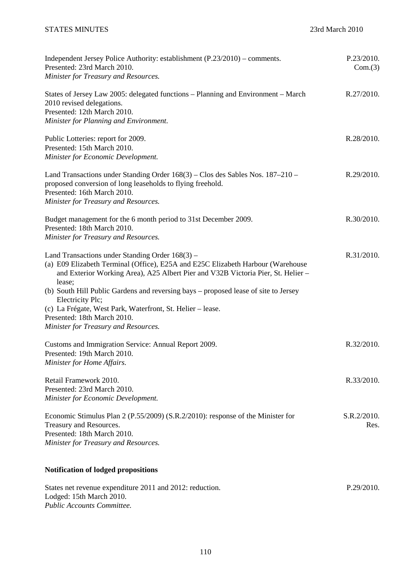| Independent Jersey Police Authority: establishment (P.23/2010) – comments.<br>Presented: 23rd March 2010.<br>Minister for Treasury and Resources.                                                                                                                                                                                                                                                           | P.23/2010.<br>Com.(3) |
|-------------------------------------------------------------------------------------------------------------------------------------------------------------------------------------------------------------------------------------------------------------------------------------------------------------------------------------------------------------------------------------------------------------|-----------------------|
| States of Jersey Law 2005: delegated functions – Planning and Environment – March<br>2010 revised delegations.<br>Presented: 12th March 2010.<br>Minister for Planning and Environment.                                                                                                                                                                                                                     | R.27/2010.            |
| Public Lotteries: report for 2009.<br>Presented: 15th March 2010.<br>Minister for Economic Development.                                                                                                                                                                                                                                                                                                     | R.28/2010.            |
| Land Transactions under Standing Order 168(3) – Clos des Sables Nos. 187–210 –<br>proposed conversion of long leaseholds to flying freehold.<br>Presented: 16th March 2010.<br>Minister for Treasury and Resources.                                                                                                                                                                                         | R.29/2010.            |
| Budget management for the 6 month period to 31st December 2009.<br>Presented: 18th March 2010.<br>Minister for Treasury and Resources.                                                                                                                                                                                                                                                                      | R.30/2010.            |
| Land Transactions under Standing Order $168(3)$ –<br>(a) E09 Elizabeth Terminal (Office), E25A and E25C Elizabeth Harbour (Warehouse<br>and Exterior Working Area), A25 Albert Pier and V32B Victoria Pier, St. Helier -<br>lease;<br>(b) South Hill Public Gardens and reversing bays – proposed lease of site to Jersey<br>Electricity Plc;<br>(c) La Frégate, West Park, Waterfront, St. Helier - lease. | R.31/2010.            |
| Presented: 18th March 2010.<br>Minister for Treasury and Resources.                                                                                                                                                                                                                                                                                                                                         |                       |
| Customs and Immigration Service: Annual Report 2009.<br>Presented: 19th March 2010.<br>Minister for Home Affairs.                                                                                                                                                                                                                                                                                           | R.32/2010.            |
| Retail Framework 2010.<br>Presented: 23rd March 2010.<br>Minister for Economic Development.                                                                                                                                                                                                                                                                                                                 | R.33/2010.            |
| Economic Stimulus Plan 2 (P.55/2009) (S.R.2/2010): response of the Minister for<br>Treasury and Resources.<br>Presented: 18th March 2010.<br>Minister for Treasury and Resources.                                                                                                                                                                                                                           | S.R.2/2010.<br>Res.   |
| <b>Notification of lodged propositions</b>                                                                                                                                                                                                                                                                                                                                                                  |                       |

| States net revenue expenditure 2011 and 2012: reduction. | P.29/2010. |
|----------------------------------------------------------|------------|
| Lodged: 15th March 2010.                                 |            |
| <b>Public Accounts Committee.</b>                        |            |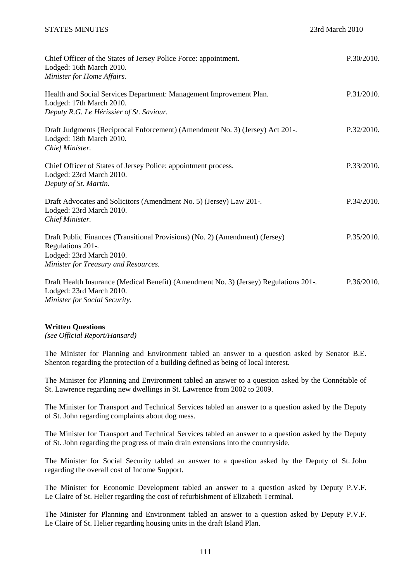| Chief Officer of the States of Jersey Police Force: appointment.<br>Lodged: 16th March 2010.<br>Minister for Home Affairs.                                            | P.30/2010. |
|-----------------------------------------------------------------------------------------------------------------------------------------------------------------------|------------|
| Health and Social Services Department: Management Improvement Plan.<br>Lodged: 17th March 2010.<br>Deputy R.G. Le Hérissier of St. Saviour.                           | P.31/2010. |
| Draft Judgments (Reciprocal Enforcement) (Amendment No. 3) (Jersey) Act 201-.<br>Lodged: 18th March 2010.<br>Chief Minister.                                          | P.32/2010. |
| Chief Officer of States of Jersey Police: appointment process.<br>Lodged: 23rd March 2010.<br>Deputy of St. Martin.                                                   | P.33/2010. |
| Draft Advocates and Solicitors (Amendment No. 5) (Jersey) Law 201-.<br>Lodged: 23rd March 2010.<br>Chief Minister.                                                    | P.34/2010. |
| Draft Public Finances (Transitional Provisions) (No. 2) (Amendment) (Jersey)<br>Regulations 201-.<br>Lodged: 23rd March 2010.<br>Minister for Treasury and Resources. | P.35/2010. |
| Draft Health Insurance (Medical Benefit) (Amendment No. 3) (Jersey) Regulations 201-.<br>Lodged: 23rd March 2010.                                                     | P.36/2010. |

*Minister for Social Security.* 

# **Written Questions**

*(see Official Report/Hansard)* 

The Minister for Planning and Environment tabled an answer to a question asked by Senator B.E. Shenton regarding the protection of a building defined as being of local interest.

The Minister for Planning and Environment tabled an answer to a question asked by the Connétable of St. Lawrence regarding new dwellings in St. Lawrence from 2002 to 2009.

The Minister for Transport and Technical Services tabled an answer to a question asked by the Deputy of St. John regarding complaints about dog mess.

The Minister for Transport and Technical Services tabled an answer to a question asked by the Deputy of St. John regarding the progress of main drain extensions into the countryside.

The Minister for Social Security tabled an answer to a question asked by the Deputy of St. John regarding the overall cost of Income Support.

The Minister for Economic Development tabled an answer to a question asked by Deputy P.V.F. Le Claire of St. Helier regarding the cost of refurbishment of Elizabeth Terminal.

The Minister for Planning and Environment tabled an answer to a question asked by Deputy P.V.F. Le Claire of St. Helier regarding housing units in the draft Island Plan.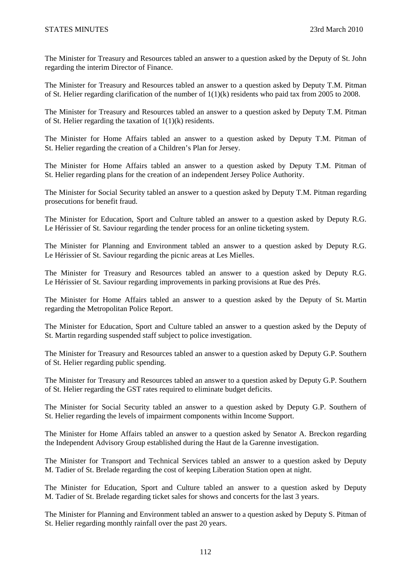The Minister for Treasury and Resources tabled an answer to a question asked by the Deputy of St. John regarding the interim Director of Finance.

The Minister for Treasury and Resources tabled an answer to a question asked by Deputy T.M. Pitman of St. Helier regarding clarification of the number of 1(1)(k) residents who paid tax from 2005 to 2008.

The Minister for Treasury and Resources tabled an answer to a question asked by Deputy T.M. Pitman of St. Helier regarding the taxation of 1(1)(k) residents.

The Minister for Home Affairs tabled an answer to a question asked by Deputy T.M. Pitman of St. Helier regarding the creation of a Children's Plan for Jersey.

The Minister for Home Affairs tabled an answer to a question asked by Deputy T.M. Pitman of St. Helier regarding plans for the creation of an independent Jersey Police Authority.

The Minister for Social Security tabled an answer to a question asked by Deputy T.M. Pitman regarding prosecutions for benefit fraud.

The Minister for Education, Sport and Culture tabled an answer to a question asked by Deputy R.G. Le Hérissier of St. Saviour regarding the tender process for an online ticketing system.

The Minister for Planning and Environment tabled an answer to a question asked by Deputy R.G. Le Hérissier of St. Saviour regarding the picnic areas at Les Mielles.

The Minister for Treasury and Resources tabled an answer to a question asked by Deputy R.G. Le Hérissier of St. Saviour regarding improvements in parking provisions at Rue des Prés.

The Minister for Home Affairs tabled an answer to a question asked by the Deputy of St. Martin regarding the Metropolitan Police Report.

The Minister for Education, Sport and Culture tabled an answer to a question asked by the Deputy of St. Martin regarding suspended staff subject to police investigation.

The Minister for Treasury and Resources tabled an answer to a question asked by Deputy G.P. Southern of St. Helier regarding public spending.

The Minister for Treasury and Resources tabled an answer to a question asked by Deputy G.P. Southern of St. Helier regarding the GST rates required to eliminate budget deficits.

The Minister for Social Security tabled an answer to a question asked by Deputy G.P. Southern of St. Helier regarding the levels of impairment components within Income Support.

The Minister for Home Affairs tabled an answer to a question asked by Senator A. Breckon regarding the Independent Advisory Group established during the Haut de la Garenne investigation.

The Minister for Transport and Technical Services tabled an answer to a question asked by Deputy M. Tadier of St. Brelade regarding the cost of keeping Liberation Station open at night.

The Minister for Education, Sport and Culture tabled an answer to a question asked by Deputy M. Tadier of St. Brelade regarding ticket sales for shows and concerts for the last 3 years.

The Minister for Planning and Environment tabled an answer to a question asked by Deputy S. Pitman of St. Helier regarding monthly rainfall over the past 20 years.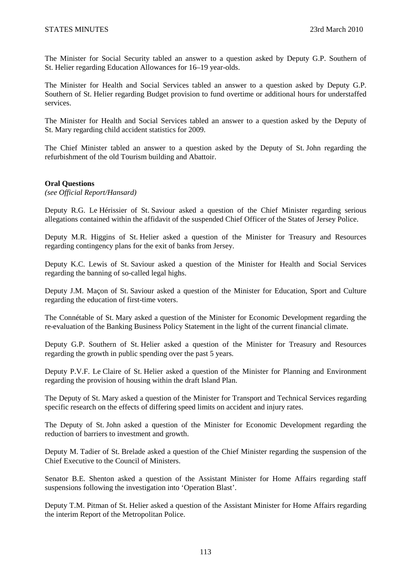The Minister for Social Security tabled an answer to a question asked by Deputy G.P. Southern of St. Helier regarding Education Allowances for 16–19 year-olds.

The Minister for Health and Social Services tabled an answer to a question asked by Deputy G.P. Southern of St. Helier regarding Budget provision to fund overtime or additional hours for understaffed services.

The Minister for Health and Social Services tabled an answer to a question asked by the Deputy of St. Mary regarding child accident statistics for 2009.

The Chief Minister tabled an answer to a question asked by the Deputy of St. John regarding the refurbishment of the old Tourism building and Abattoir.

### **Oral Questions**

*(see Official Report/Hansard)* 

Deputy R.G. Le Hérissier of St. Saviour asked a question of the Chief Minister regarding serious allegations contained within the affidavit of the suspended Chief Officer of the States of Jersey Police.

Deputy M.R. Higgins of St. Helier asked a question of the Minister for Treasury and Resources regarding contingency plans for the exit of banks from Jersey.

Deputy K.C. Lewis of St. Saviour asked a question of the Minister for Health and Social Services regarding the banning of so-called legal highs.

Deputy J.M. Maçon of St. Saviour asked a question of the Minister for Education, Sport and Culture regarding the education of first-time voters.

The Connétable of St. Mary asked a question of the Minister for Economic Development regarding the re-evaluation of the Banking Business Policy Statement in the light of the current financial climate.

Deputy G.P. Southern of St. Helier asked a question of the Minister for Treasury and Resources regarding the growth in public spending over the past 5 years.

Deputy P.V.F. Le Claire of St. Helier asked a question of the Minister for Planning and Environment regarding the provision of housing within the draft Island Plan.

The Deputy of St. Mary asked a question of the Minister for Transport and Technical Services regarding specific research on the effects of differing speed limits on accident and injury rates.

The Deputy of St. John asked a question of the Minister for Economic Development regarding the reduction of barriers to investment and growth.

Deputy M. Tadier of St. Brelade asked a question of the Chief Minister regarding the suspension of the Chief Executive to the Council of Ministers.

Senator B.E. Shenton asked a question of the Assistant Minister for Home Affairs regarding staff suspensions following the investigation into 'Operation Blast'.

Deputy T.M. Pitman of St. Helier asked a question of the Assistant Minister for Home Affairs regarding the interim Report of the Metropolitan Police.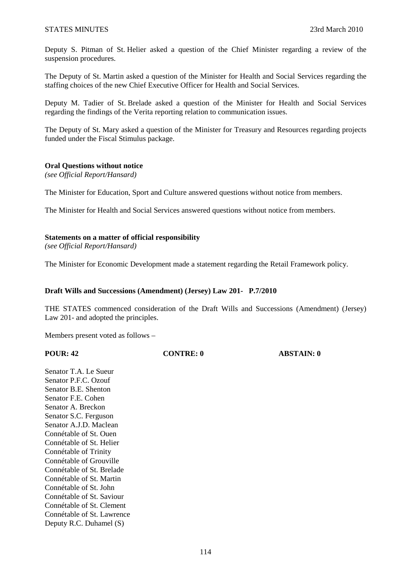Deputy S. Pitman of St. Helier asked a question of the Chief Minister regarding a review of the suspension procedures.

The Deputy of St. Martin asked a question of the Minister for Health and Social Services regarding the staffing choices of the new Chief Executive Officer for Health and Social Services.

Deputy M. Tadier of St. Brelade asked a question of the Minister for Health and Social Services regarding the findings of the Verita reporting relation to communication issues.

The Deputy of St. Mary asked a question of the Minister for Treasury and Resources regarding projects funded under the Fiscal Stimulus package.

### **Oral Questions without notice**

*(see Official Report/Hansard)* 

The Minister for Education, Sport and Culture answered questions without notice from members.

The Minister for Health and Social Services answered questions without notice from members.

### **Statements on a matter of official responsibility**

*(see Official Report/Hansard)* 

The Minister for Economic Development made a statement regarding the Retail Framework policy.

### **Draft Wills and Successions (Amendment) (Jersey) Law 201- P.7/2010**

THE STATES commenced consideration of the Draft Wills and Successions (Amendment) (Jersey) Law 201- and adopted the principles.

Members present voted as follows –

| <b>POUR: 42</b> |  |
|-----------------|--|
|-----------------|--|

**PONTRE: 0 ABSTAIN: 0** 

Senator T.A. Le Sueur Senator P.F.C. Ozouf Senator B.E. Shenton Senator F.E. Cohen Senator A. Breckon Senator S.C. Ferguson Senator A.J.D. Maclean Connétable of St. Ouen Connétable of St. Helier Connétable of Trinity Connétable of Grouville Connétable of St. Brelade Connétable of St. Martin Connétable of St. John Connétable of St. Saviour Connétable of St. Clement Connétable of St. Lawrence Deputy R.C. Duhamel (S)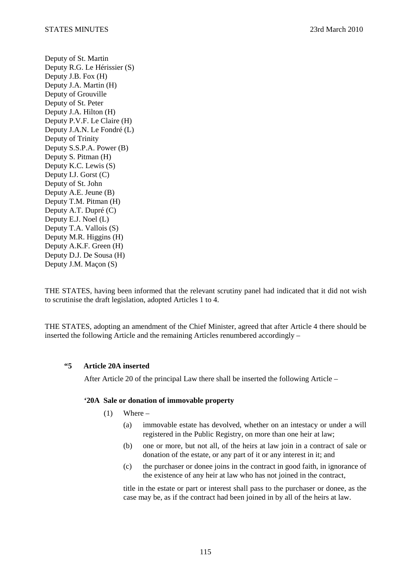Deputy of St. Martin Deputy R.G. Le Hérissier (S) Deputy J.B. Fox (H) Deputy J.A. Martin (H) Deputy of Grouville Deputy of St. Peter Deputy J.A. Hilton (H) Deputy P.V.F. Le Claire (H) Deputy J.A.N. Le Fondré (L) Deputy of Trinity Deputy S.S.P.A. Power (B) Deputy S. Pitman (H) Deputy K.C. Lewis (S) Deputy I.J. Gorst (C) Deputy of St. John Deputy A.E. Jeune (B) Deputy T.M. Pitman (H) Deputy A.T. Dupré (C) Deputy E.J. Noel (L) Deputy T.A. Vallois (S) Deputy M.R. Higgins (H) Deputy A.K.F. Green (H) Deputy D.J. De Sousa (H) Deputy J.M. Maçon (S)

THE STATES, having been informed that the relevant scrutiny panel had indicated that it did not wish to scrutinise the draft legislation, adopted Articles 1 to 4.

THE STATES, adopting an amendment of the Chief Minister, agreed that after Article 4 there should be inserted the following Article and the remaining Articles renumbered accordingly –

### **"5 Article 20A inserted**

After Article 20 of the principal Law there shall be inserted the following Article –

### **'20A Sale or donation of immovable property**

- $(1)$  Where
	- (a) immovable estate has devolved, whether on an intestacy or under a will registered in the Public Registry, on more than one heir at law;
	- (b) one or more, but not all, of the heirs at law join in a contract of sale or donation of the estate, or any part of it or any interest in it; and
	- (c) the purchaser or donee joins in the contract in good faith, in ignorance of the existence of any heir at law who has not joined in the contract,

title in the estate or part or interest shall pass to the purchaser or donee, as the case may be, as if the contract had been joined in by all of the heirs at law.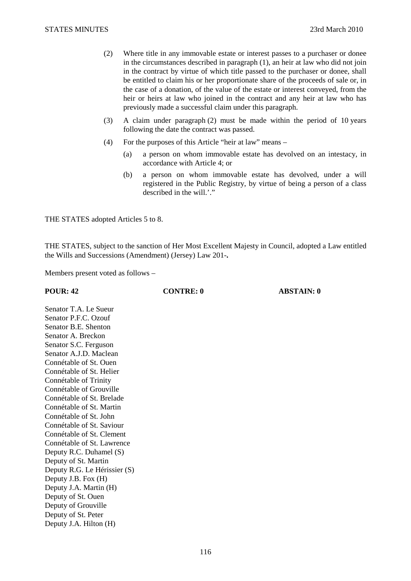- (2) Where title in any immovable estate or interest passes to a purchaser or donee in the circumstances described in paragraph (1), an heir at law who did not join in the contract by virtue of which title passed to the purchaser or donee, shall be entitled to claim his or her proportionate share of the proceeds of sale or, in the case of a donation, of the value of the estate or interest conveyed, from the heir or heirs at law who joined in the contract and any heir at law who has previously made a successful claim under this paragraph.
- (3) A claim under paragraph (2) must be made within the period of 10 years following the date the contract was passed.
- (4) For the purposes of this Article "heir at law" means
	- (a) a person on whom immovable estate has devolved on an intestacy, in accordance with Article 4; or
	- (b) a person on whom immovable estate has devolved, under a will registered in the Public Registry, by virtue of being a person of a class described in the will.'."

THE STATES adopted Articles 5 to 8.

THE STATES, subject to the sanction of Her Most Excellent Majesty in Council, adopted a Law entitled the Wills and Successions (Amendment) (Jersey) Law 201-**.**

Members present voted as follows –

**POUR: 42 CONTRE: 0 ABSTAIN: 0** 

Senator T.A. Le Sueur Senator P.F.C. Ozouf Senator B.E. Shenton Senator A. Breckon Senator S.C. Ferguson Senator A.J.D. Maclean Connétable of St. Ouen Connétable of St. Helier Connétable of Trinity Connétable of Grouville Connétable of St. Brelade Connétable of St. Martin Connétable of St. John Connétable of St. Saviour Connétable of St. Clement Connétable of St. Lawrence Deputy R.C. Duhamel (S) Deputy of St. Martin Deputy R.G. Le Hérissier (S) Deputy J.B. Fox (H) Deputy J.A. Martin (H) Deputy of St. Ouen Deputy of Grouville Deputy of St. Peter Deputy J.A. Hilton (H)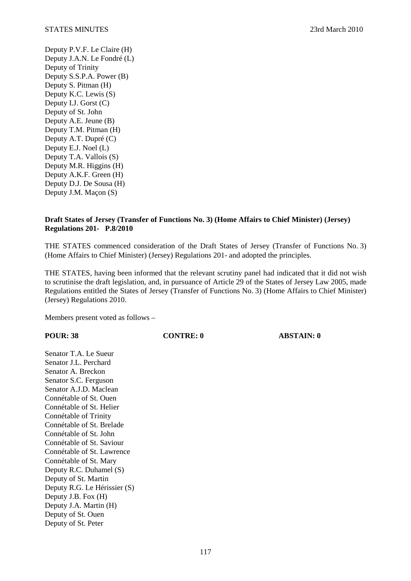Deputy P.V.F. Le Claire (H) Deputy J.A.N. Le Fondré (L) Deputy of Trinity Deputy S.S.P.A. Power (B) Deputy S. Pitman (H) Deputy K.C. Lewis (S) Deputy I.J. Gorst (C) Deputy of St. John Deputy A.E. Jeune (B) Deputy T.M. Pitman (H) Deputy A.T. Dupré (C) Deputy E.J. Noel (L) Deputy T.A. Vallois (S) Deputy M.R. Higgins (H) Deputy A.K.F. Green (H) Deputy D.J. De Sousa (H) Deputy J.M. Maçon (S)

# **Draft States of Jersey (Transfer of Functions No. 3) (Home Affairs to Chief Minister) (Jersey) Regulations 201- P.8/2010**

THE STATES commenced consideration of the Draft States of Jersey (Transfer of Functions No. 3) (Home Affairs to Chief Minister) (Jersey) Regulations 201- and adopted the principles.

THE STATES, having been informed that the relevant scrutiny panel had indicated that it did not wish to scrutinise the draft legislation, and, in pursuance of Article 29 of the States of Jersey Law 2005, made Regulations entitled the States of Jersey (Transfer of Functions No. 3) (Home Affairs to Chief Minister) (Jersey) Regulations 2010.

Members present voted as follows –

# **POUR: 38 CONTRE: 0 ABSTAIN: 0**

Senator T.A. Le Sueur Senator J.L. Perchard Senator A. Breckon Senator S.C. Ferguson Senator A.J.D. Maclean Connétable of St. Ouen Connétable of St. Helier Connétable of Trinity Connétable of St. Brelade Connétable of St. John Connétable of St. Saviour Connétable of St. Lawrence Connétable of St. Mary Deputy R.C. Duhamel (S) Deputy of St. Martin Deputy R.G. Le Hérissier (S) Deputy J.B. Fox (H) Deputy J.A. Martin (H) Deputy of St. Ouen Deputy of St. Peter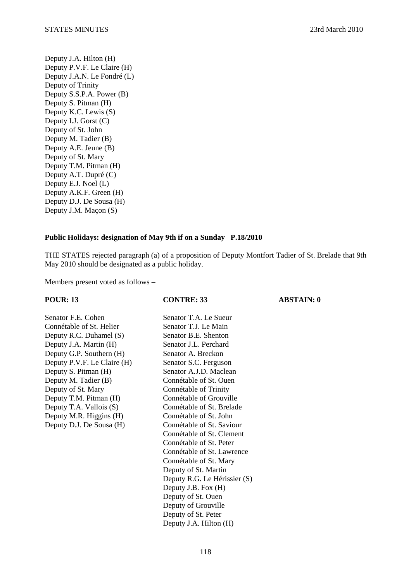Deputy J.A. Hilton (H) Deputy P.V.F. Le Claire (H) Deputy J.A.N. Le Fondré (L) Deputy of Trinity Deputy S.S.P.A. Power (B) Deputy S. Pitman (H) Deputy K.C. Lewis (S) Deputy I.J. Gorst (C) Deputy of St. John Deputy M. Tadier (B) Deputy A.E. Jeune (B) Deputy of St. Mary Deputy T.M. Pitman (H) Deputy A.T. Dupré (C) Deputy E.J. Noel (L) Deputy A.K.F. Green (H) Deputy D.J. De Sousa (H) Deputy J.M. Maçon (S)

# **Public Holidays: designation of May 9th if on a Sunday P.18/2010**

THE STATES rejected paragraph (a) of a proposition of Deputy Montfort Tadier of St. Brelade that 9th May 2010 should be designated as a public holiday.

Members present voted as follows –

| <b>POUR: 13</b>             | <b>CONTRE: 33</b>            | <b>ABSTAIN: 0</b> |
|-----------------------------|------------------------------|-------------------|
| Senator F.E. Cohen          | Senator T.A. Le Sueur        |                   |
| Connétable of St. Helier    | Senator T.J. Le Main         |                   |
| Deputy R.C. Duhamel (S)     | Senator B.E. Shenton         |                   |
| Deputy J.A. Martin (H)      | Senator J.L. Perchard        |                   |
| Deputy G.P. Southern (H)    | Senator A. Breckon           |                   |
| Deputy P.V.F. Le Claire (H) | Senator S.C. Ferguson        |                   |
| Deputy S. Pitman (H)        | Senator A.J.D. Maclean       |                   |
| Deputy M. Tadier (B)        | Connétable of St. Ouen       |                   |
| Deputy of St. Mary          | Connétable of Trinity        |                   |
| Deputy T.M. Pitman (H)      | Connétable of Grouville      |                   |
| Deputy T.A. Vallois (S)     | Connétable of St. Brelade    |                   |
| Deputy M.R. Higgins (H)     | Connétable of St. John       |                   |
| Deputy D.J. De Sousa (H)    | Connétable of St. Saviour    |                   |
|                             | Connétable of St. Clement    |                   |
|                             | Connétable of St. Peter      |                   |
|                             | Connétable of St. Lawrence   |                   |
|                             | Connétable of St. Mary       |                   |
|                             | Deputy of St. Martin         |                   |
|                             | Deputy R.G. Le Hérissier (S) |                   |
|                             | Deputy J.B. Fox (H)          |                   |
|                             | Deputy of St. Ouen           |                   |
|                             | Deputy of Grouville          |                   |
|                             | Deputy of St. Peter          |                   |

Deputy J.A. Hilton (H)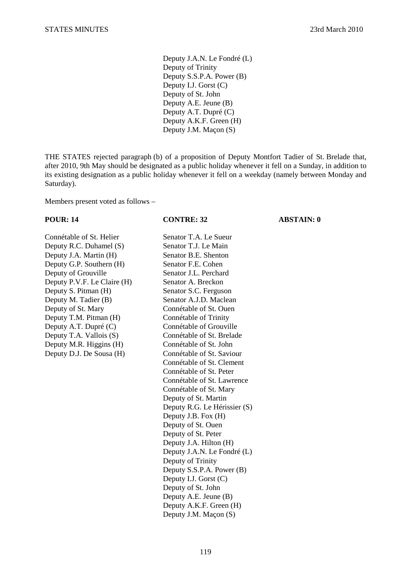Deputy J.A.N. Le Fondré (L) Deputy of Trinity Deputy S.S.P.A. Power (B) Deputy I.J. Gorst (C) Deputy of St. John Deputy A.E. Jeune (B) Deputy A.T. Dupré (C) Deputy A.K.F. Green (H) Deputy J.M. Maçon (S)

THE STATES rejected paragraph (b) of a proposition of Deputy Montfort Tadier of St. Brelade that, after 2010, 9th May should be designated as a public holiday whenever it fell on a Sunday, in addition to its existing designation as a public holiday whenever it fell on a weekday (namely between Monday and Saturday).

Members present voted as follows –

# Connétable of St. Helier Senator T.A. Le Sueur Deputy R.C. Duhamel (S) Senator T.J. Le Main Deputy J.A. Martin (H) Senator B.E. Shenton Deputy G.P. Southern (H) Senator F.E. Cohen Deputy of Grouville Senator J.L. Perchard Deputy P.V.F. Le Claire (H) Senator A. Breckon Deputy S. Pitman (H) Senator S.C. Ferguson

# Deputy M. Tadier (B) Senator A.J.D. Maclean Deputy of St. Mary Connétable of St. Ouen Deputy T.M. Pitman (H) Connétable of Trinity Deputy A.T. Dupré (C) Connétable of Grouville Deputy T.A. Vallois (S) Connétable of St. Brelade Deputy M.R. Higgins (H) Connétable of St. John Deputy D.J. De Sousa (H) Connétable of St. Saviour Connétable of St. Clement Connétable of St. Peter Connétable of St. Lawrence Connétable of St. Mary Deputy of St. Martin Deputy R.G. Le Hérissier (S) Deputy J.B. Fox (H) Deputy of St. Ouen Deputy of St. Peter Deputy J.A. Hilton (H) Deputy J.A.N. Le Fondré (L) Deputy of Trinity Deputy S.S.P.A. Power (B) Deputy I.J. Gorst (C) Deputy of St. John Deputy A.E. Jeune (B) Deputy A.K.F. Green (H) Deputy J.M. Maçon (S)

### **POUR: 14 CONTRE: 32 ABSTAIN: 0**

119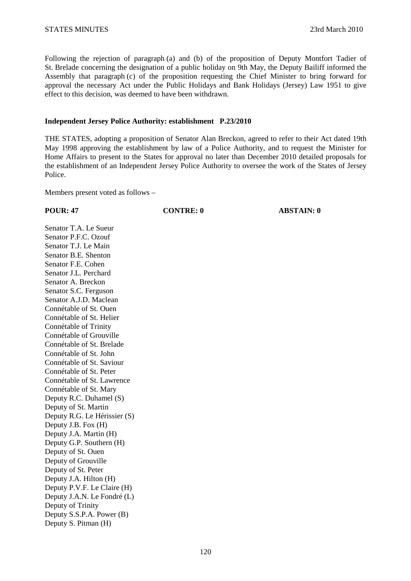Following the rejection of paragraph (a) and (b) of the proposition of Deputy Montfort Tadier of St. Brelade concerning the designation of a public holiday on 9th May, the Deputy Bailiff informed the Assembly that paragraph (c) of the proposition requesting the Chief Minister to bring forward for approval the necessary Act under the Public Holidays and Bank Holidays (Jersey) Law 1951 to give effect to this decision, was deemed to have been withdrawn.

### **Independent Jersey Police Authority: establishment P.23/2010**

THE STATES, adopting a proposition of Senator Alan Breckon, agreed to refer to their Act dated 19th May 1998 approving the establishment by law of a Police Authority, and to request the Minister for Home Affairs to present to the States for approval no later than December 2010 detailed proposals for the establishment of an Independent Jersey Police Authority to oversee the work of the States of Jersey Police.

Members present voted as follows –

**POUR: 47 CONTRE: 0 ABSTAIN: 0** 

Senator T.A. Le Sueur Senator P.F.C. Ozouf Senator T.J. Le Main Senator B.E. Shenton Senator F.E. Cohen Senator J.L. Perchard Senator A. Breckon Senator S.C. Ferguson Senator A.J.D. Maclean Connétable of St. Ouen Connétable of St. Helier Connétable of Trinity Connétable of Grouville Connétable of St. Brelade Connétable of St. John Connétable of St. Saviour Connétable of St. Peter Connétable of St. Lawrence Connétable of St. Mary Deputy R.C. Duhamel (S) Deputy of St. Martin Deputy R.G. Le Hérissier (S) Deputy J.B. Fox (H) Deputy J.A. Martin (H) Deputy G.P. Southern (H) Deputy of St. Ouen Deputy of Grouville Deputy of St. Peter Deputy J.A. Hilton (H) Deputy P.V.F. Le Claire (H) Deputy J.A.N. Le Fondré (L) Deputy of Trinity Deputy S.S.P.A. Power (B) Deputy S. Pitman (H)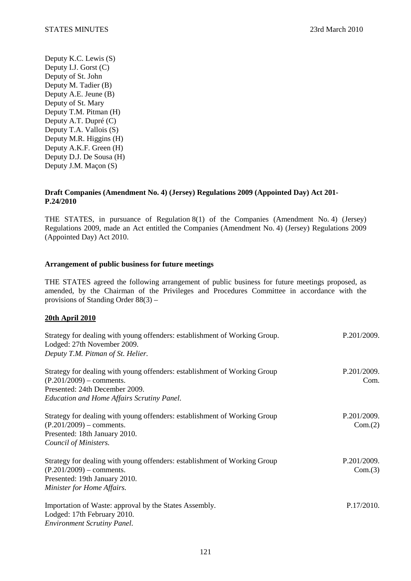Deputy K.C. Lewis (S) Deputy I.J. Gorst (C) Deputy of St. John Deputy M. Tadier (B) Deputy A.E. Jeune (B) Deputy of St. Mary Deputy T.M. Pitman (H) Deputy A.T. Dupré (C) Deputy T.A. Vallois (S) Deputy M.R. Higgins (H) Deputy A.K.F. Green (H) Deputy D.J. De Sousa (H) Deputy J.M. Maçon (S)

# **Draft Companies (Amendment No. 4) (Jersey) Regulations 2009 (Appointed Day) Act 201- P.24/2010**

THE STATES, in pursuance of Regulation 8(1) of the Companies (Amendment No. 4) (Jersey) Regulations 2009, made an Act entitled the Companies (Amendment No. 4) (Jersey) Regulations 2009 (Appointed Day) Act 2010.

# **Arrangement of public business for future meetings**

THE STATES agreed the following arrangement of public business for future meetings proposed, as amended, by the Chairman of the Privileges and Procedures Committee in accordance with the provisions of Standing Order 88(3) –

# **20th April 2010**

| Strategy for dealing with young offenders: establishment of Working Group.<br>Lodged: 27th November 2009.<br>Deputy T.M. Pitman of St. Helier.                                                 | P.201/2009.            |
|------------------------------------------------------------------------------------------------------------------------------------------------------------------------------------------------|------------------------|
| Strategy for dealing with young offenders: establishment of Working Group<br>$(P.201/2009)$ – comments.<br>Presented: 24th December 2009.<br><b>Education and Home Affairs Scrutiny Panel.</b> | P.201/2009.<br>Com.    |
| Strategy for dealing with young offenders: establishment of Working Group<br>$(P.201/2009)$ – comments.<br>Presented: 18th January 2010.<br>Council of Ministers.                              | P.201/2009.<br>Com.(2) |
| Strategy for dealing with young offenders: establishment of Working Group<br>$(P.201/2009)$ – comments.<br>Presented: 19th January 2010.<br>Minister for Home Affairs.                         | P.201/2009.<br>Com.(3) |
| Importation of Waste: approval by the States Assembly.<br>Lodged: 17th February 2010.<br><b>Environment Scrutiny Panel.</b>                                                                    | P.17/2010.             |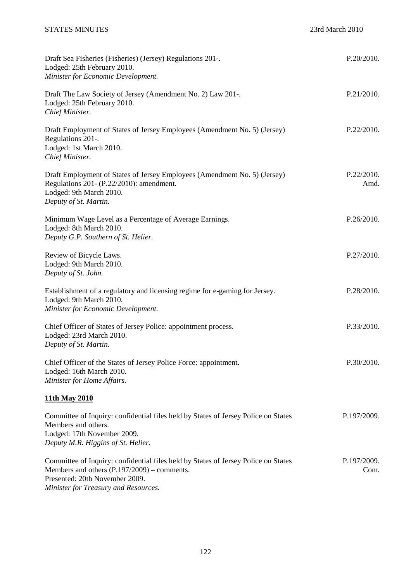| Draft Sea Fisheries (Fisheries) (Jersey) Regulations 201-.<br>Lodged: 25th February 2010.<br>Minister for Economic Development.                                                                             | P.20/2010.          |
|-------------------------------------------------------------------------------------------------------------------------------------------------------------------------------------------------------------|---------------------|
| Draft The Law Society of Jersey (Amendment No. 2) Law 201-.<br>Lodged: 25th February 2010.<br>Chief Minister.                                                                                               | P.21/2010.          |
| Draft Employment of States of Jersey Employees (Amendment No. 5) (Jersey)<br>Regulations 201-.<br>Lodged: 1st March 2010.<br>Chief Minister.                                                                | P.22/2010.          |
| Draft Employment of States of Jersey Employees (Amendment No. 5) (Jersey)<br>Regulations 201- (P.22/2010): amendment.<br>Lodged: 9th March 2010.<br>Deputy of St. Martin.                                   | P.22/2010.<br>Amd.  |
| Minimum Wage Level as a Percentage of Average Earnings.<br>Lodged: 8th March 2010.<br>Deputy G.P. Southern of St. Helier.                                                                                   | P.26/2010.          |
| Review of Bicycle Laws.<br>Lodged: 9th March 2010.<br>Deputy of St. John.                                                                                                                                   | P.27/2010.          |
| Establishment of a regulatory and licensing regime for e-gaming for Jersey.<br>Lodged: 9th March 2010.<br>Minister for Economic Development.                                                                | P.28/2010.          |
| Chief Officer of States of Jersey Police: appointment process.<br>Lodged: 23rd March 2010.<br>Deputy of St. Martin.                                                                                         | P.33/2010.          |
| Chief Officer of the States of Jersey Police Force: appointment.<br>Lodged: 16th March 2010.<br>Minister for Home Affairs.                                                                                  | P.30/2010.          |
| 11th May 2010                                                                                                                                                                                               |                     |
| Committee of Inquiry: confidential files held by States of Jersey Police on States<br>Members and others.<br>Lodged: 17th November 2009.<br>Deputy M.R. Higgins of St. Helier.                              | P.197/2009.         |
| Committee of Inquiry: confidential files held by States of Jersey Police on States<br>Members and others (P.197/2009) – comments.<br>Presented: 20th November 2009.<br>Minister for Treasury and Resources. | P.197/2009.<br>Com. |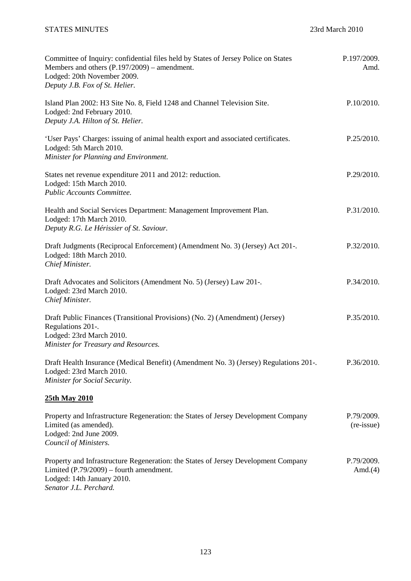| Committee of Inquiry: confidential files held by States of Jersey Police on States<br>Members and others (P.197/2009) – amendment.<br>Lodged: 20th November 2009.<br>Deputy J.B. Fox of St. Helier. | P.197/2009.<br>Amd.      |
|-----------------------------------------------------------------------------------------------------------------------------------------------------------------------------------------------------|--------------------------|
| Island Plan 2002: H3 Site No. 8, Field 1248 and Channel Television Site.<br>Lodged: 2nd February 2010.<br>Deputy J.A. Hilton of St. Helier.                                                         | P.10/2010.               |
| 'User Pays' Charges: issuing of animal health export and associated certificates.<br>Lodged: 5th March 2010.<br>Minister for Planning and Environment.                                              | P.25/2010.               |
| States net revenue expenditure 2011 and 2012: reduction.<br>Lodged: 15th March 2010.<br>Public Accounts Committee.                                                                                  | P.29/2010.               |
| Health and Social Services Department: Management Improvement Plan.<br>Lodged: 17th March 2010.<br>Deputy R.G. Le Hérissier of St. Saviour.                                                         | P.31/2010.               |
| Draft Judgments (Reciprocal Enforcement) (Amendment No. 3) (Jersey) Act 201-.<br>Lodged: 18th March 2010.<br>Chief Minister.                                                                        | P.32/2010.               |
| Draft Advocates and Solicitors (Amendment No. 5) (Jersey) Law 201-.<br>Lodged: 23rd March 2010.<br>Chief Minister.                                                                                  | P.34/2010.               |
| Draft Public Finances (Transitional Provisions) (No. 2) (Amendment) (Jersey)<br>Regulations 201-.<br>Lodged: 23rd March 2010.<br>Minister for Treasury and Resources.                               | P.35/2010.               |
| Draft Health Insurance (Medical Benefit) (Amendment No. 3) (Jersey) Regulations 201-.<br>Lodged: 23rd March 2010.<br>Minister for Social Security.                                                  | P.36/2010.               |
| 25th May 2010                                                                                                                                                                                       |                          |
| Property and Infrastructure Regeneration: the States of Jersey Development Company<br>Limited (as amended).<br>Lodged: 2nd June 2009.<br>Council of Ministers.                                      | P.79/2009.<br>(re-issue) |
| Property and Infrastructure Regeneration: the States of Jersey Development Company<br>Limited $(P.79/2009)$ – fourth amendment.<br>Lodged: 14th January 2010.<br>Senator J.L. Perchard.             | P.79/2009.<br>Amd. $(4)$ |